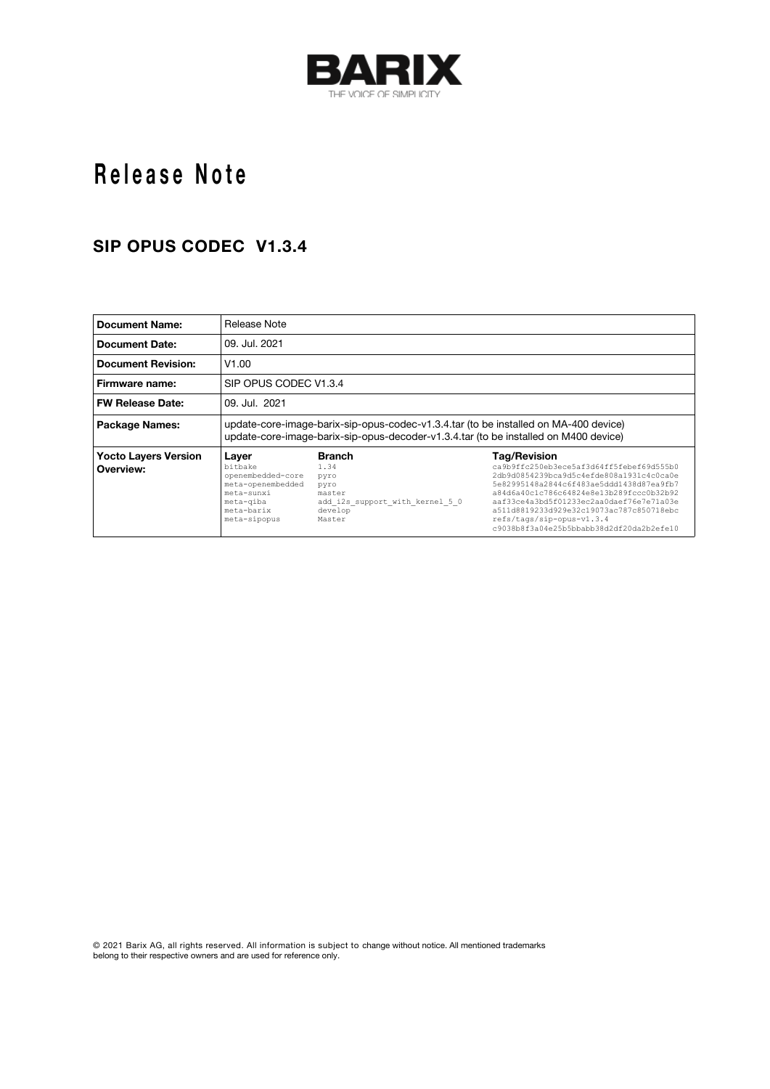

# Release Note

#### **SIP OPUS CODEC V1.3.4**

| <b>Document Name:</b>                    | Release Note                                                                                                                                                                 |                                                                                                         |                                                                                                                                                                                                                                                                                                                                                                      |  |  |  |
|------------------------------------------|------------------------------------------------------------------------------------------------------------------------------------------------------------------------------|---------------------------------------------------------------------------------------------------------|----------------------------------------------------------------------------------------------------------------------------------------------------------------------------------------------------------------------------------------------------------------------------------------------------------------------------------------------------------------------|--|--|--|
| <b>Document Date:</b>                    | 09. Jul. 2021                                                                                                                                                                |                                                                                                         |                                                                                                                                                                                                                                                                                                                                                                      |  |  |  |
| <b>Document Revision:</b>                | V1.00                                                                                                                                                                        |                                                                                                         |                                                                                                                                                                                                                                                                                                                                                                      |  |  |  |
| Firmware name:                           | SIP OPUS CODEC V1.3.4                                                                                                                                                        |                                                                                                         |                                                                                                                                                                                                                                                                                                                                                                      |  |  |  |
| <b>FW Release Date:</b>                  | 09. Jul. 2021                                                                                                                                                                |                                                                                                         |                                                                                                                                                                                                                                                                                                                                                                      |  |  |  |
| Package Names:                           | update-core-image-barix-sip-opus-codec-v1.3.4.tar (to be installed on MA-400 device)<br>update-core-image-barix-sip-opus-decoder-v1.3.4.tar (to be installed on M400 device) |                                                                                                         |                                                                                                                                                                                                                                                                                                                                                                      |  |  |  |
| <b>Yocto Layers Version</b><br>Overview: | Laver<br>bitbake<br>openembedded-core<br>meta-openembedded<br>meta-sunxi<br>meta-giba<br>meta-barix<br>meta-sipopus                                                          | <b>Branch</b><br>1.34<br>pyro<br>pyro<br>master<br>add i2s support with kernel 5 0<br>develop<br>Master | <b>Tag/Revision</b><br>ca9b9ffc250eb3ece5af3d64ff5febef69d555b0<br>2db9d0854239bca9d5c4efde808a1931c4c0ca0e<br>5e82995148a2844c6f483ae5ddd1438d87ea9fb7<br>a84d6a40c1c786c64824e8e13b289fccc0b32b92<br>aaf33ce4a3bd5f01233ec2aa0daef76e7e71a03e<br>a511d8819233d929e32c19073ac787c850718ebc<br>refs/tags/sip-opus-v1.3.4<br>c9038b8f3a04e25b5bbabb38d2df20da2b2efe10 |  |  |  |

© 2021 Barix AG, all rights reserved. All information is subject to change without notice. All mentioned trademarks belong to their respective owners and are used for reference only.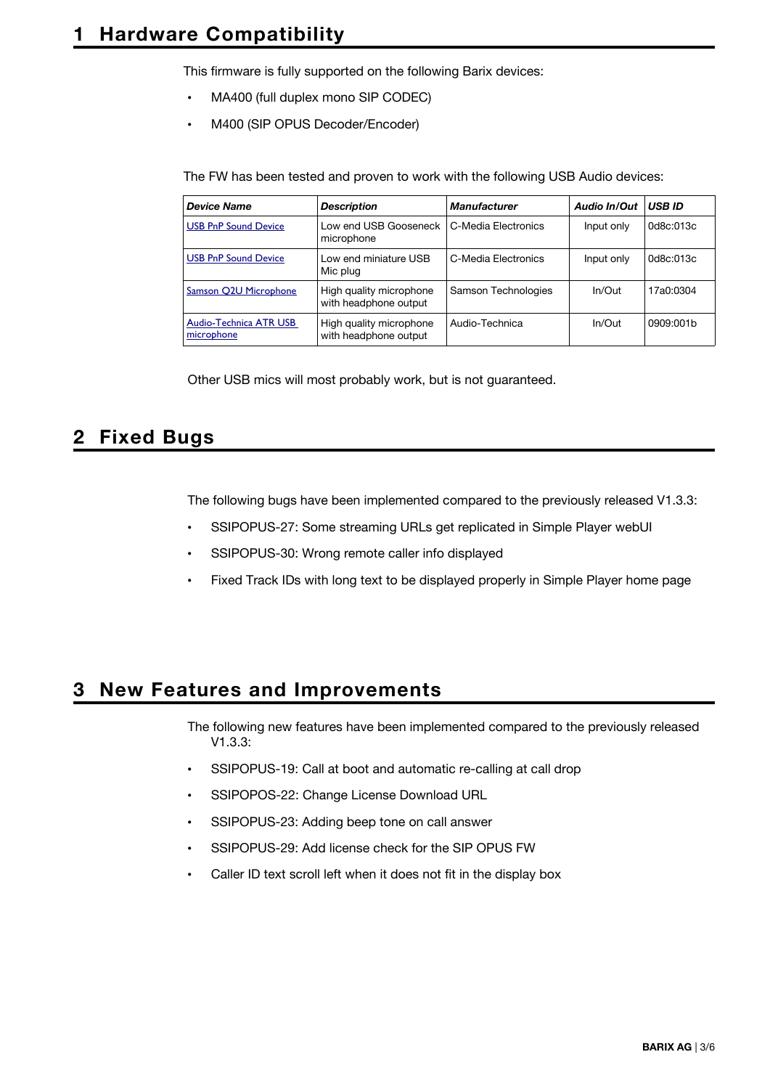This firmware is fully supported on the following Barix devices:

- MA400 (full duplex mono SIP CODEC)
- M400 (SIP OPUS Decoder/Encoder)

The FW has been tested and proven to work with the following USB Audio devices:

| <b>Device Name</b>                   | <b>Description</b>                               | <b>Manufacturer</b> | Audio In/Out | <b>USB ID</b> |
|--------------------------------------|--------------------------------------------------|---------------------|--------------|---------------|
| <b>USB PnP Sound Device</b>          | Low end USB Gooseneck<br>microphone              | C-Media Electronics | Input only   | 0d8c:013c     |
| <b>USB PnP Sound Device</b>          | Low end miniature USB<br>Mic plug                | C-Media Electronics | Input only   | 0d8c:013c     |
| Samson Q2U Microphone                | High quality microphone<br>with headphone output | Samson Technologies | In/Out       | 17a0:0304     |
| Audio-Technica ATR USB<br>microphone | High quality microphone<br>with headphone output | Audio-Technica      | In/Out       | 0909:001b     |

Other USB mics will most probably work, but is not guaranteed.

### **2 Fixed Bugs**

The following bugs have been implemented compared to the previously released V1.3.3:

- SSIPOPUS-27: Some streaming URLs get replicated in Simple Player webUI
- SSIPOPUS-30: Wrong remote caller info displayed
- Fixed Track IDs with long text to be displayed properly in Simple Player home page

## **3 New Features and Improvements**

The following new features have been implemented compared to the previously released V1.3.3:

- SSIPOPUS-19: Call at boot and automatic re-calling at call drop
- SSIPOPOS-22: Change License Download URL
- SSIPOPUS-23: Adding beep tone on call answer
- SSIPOPUS-29: Add license check for the SIP OPUS FW
- Caller ID text scroll left when it does not fit in the display box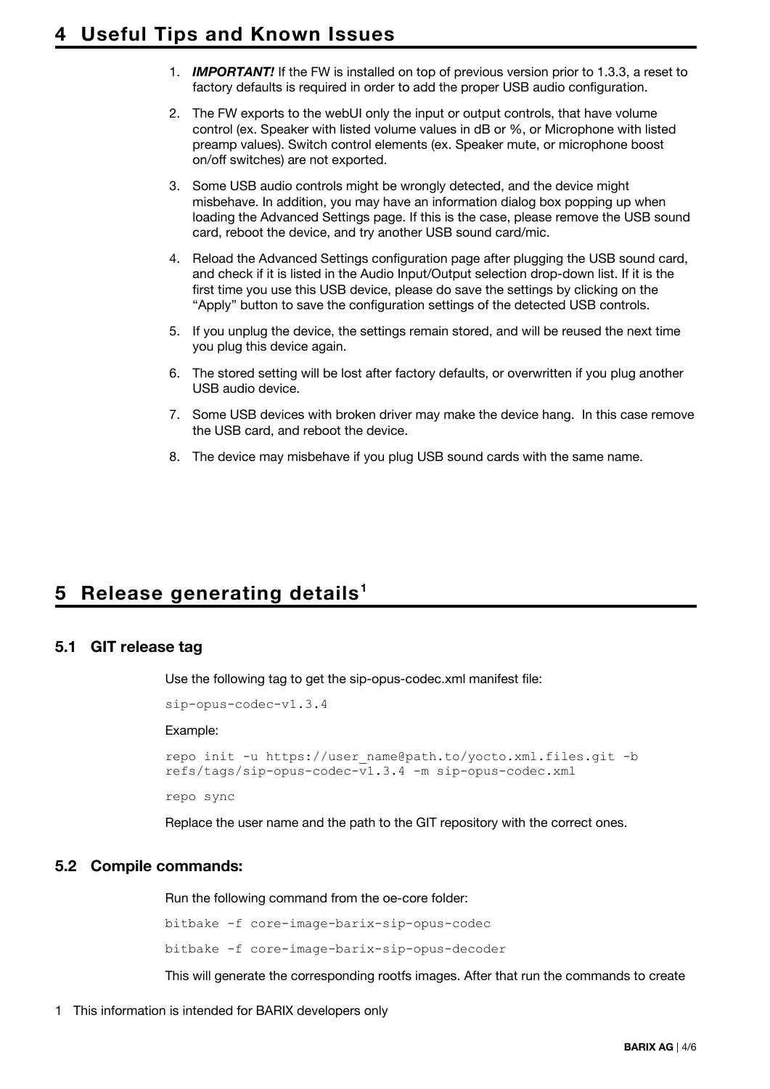- 1. *IMPORTANT!* If the FW is installed on top of previous version prior to 1.3.3, a reset to factory defaults is required in order to add the proper USB audio configuration.
- 2. The FW exports to the webUI only the input or output controls, that have volume control (ex. Speaker with listed volume values in dB or %, or Microphone with listed preamp values). Switch control elements (ex. Speaker mute, or microphone boost on/off switches) are not exported.
- 3. Some USB audio controls might be wrongly detected, and the device might misbehave. In addition, you may have an information dialog box popping up when loading the Advanced Settings page. If this is the case, please remove the USB sound card, reboot the device, and try another USB sound card/mic.
- 4. Reload the Advanced Settings configuration page after plugging the USB sound card, and check if it is listed in the Audio Input/Output selection drop-down list. If it is the first time you use this USB device, please do save the settings by clicking on the "Apply" button to save the configuration settings of the detected USB controls.
- 5. If you unplug the device, the settings remain stored, and will be reused the next time you plug this device again.
- 6. The stored setting will be lost after factory defaults, or overwritten if you plug another USB audio device.
- 7. Some USB devices with broken driver may make the device hang. In this case remove the USB card, and reboot the device.
- 8. The device may misbehave if you plug USB sound cards with the same name.

## **5 Release generating details [1](#page-2-0)**

#### **5.1 GIT release tag**

Use the following tag to get the sip-opus-codec.xml manifest file:

```
sip-opus-codec-v1.3.4
```
Example:

```
repo init -u https://user name@path.to/yocto.xml.files.git -b
refs/tags/sip-opus-codec-v1.3.4 -m sip-opus-codec.xml
```
repo sync

Replace the user name and the path to the GIT repository with the correct ones.

#### **5.2 Compile commands:**

Run the following command from the oe-core folder:

bitbake -f core-image-barix-sip-opus-codec bitbake -f core-image-barix-sip-opus-decoder

This will generate the corresponding rootfs images. After that run the commands to create

<span id="page-2-0"></span>1 This information is intended for BARIX developers only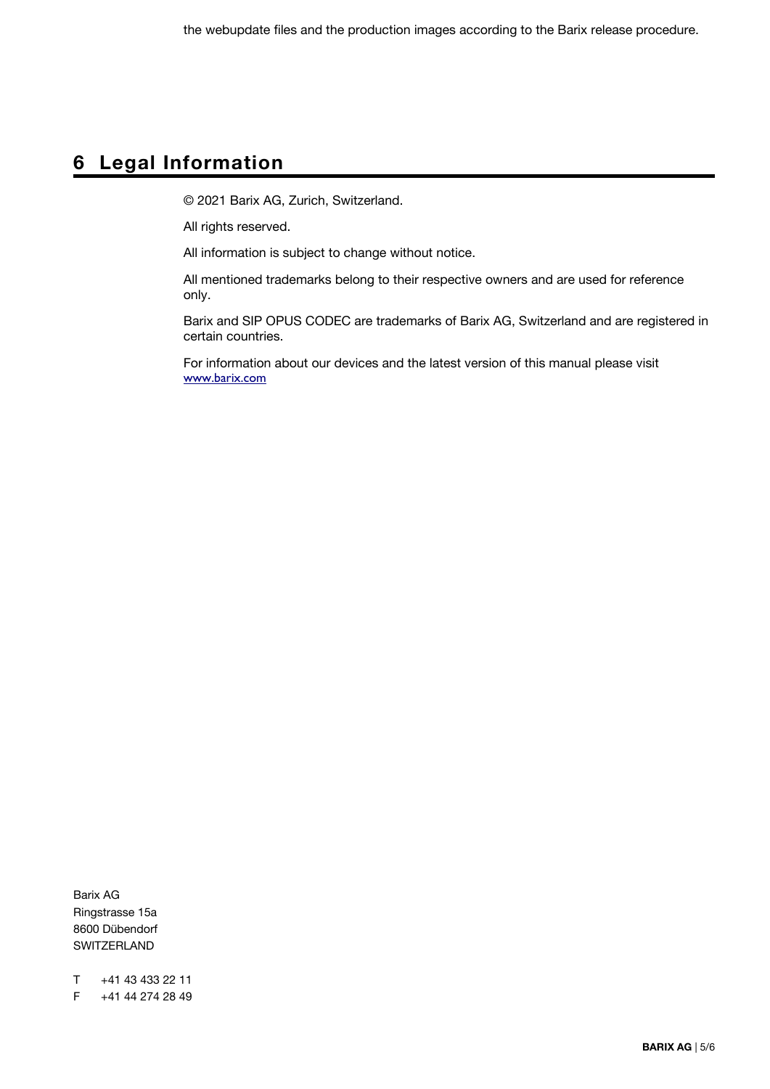# **6 Legal Information**

© 2021 Barix AG, Zurich, Switzerland.

All rights reserved.

All information is subject to change without notice.

All mentioned trademarks belong to their respective owners and are used for reference only.

Barix and SIP OPUS CODEC are trademarks of Barix AG, Switzerland and are registered in certain countries.

For information about our devices and the latest version of this manual please visit [www.barix.com](http://www.barix.com/)

Barix AG Ringstrasse 15a 8600 Dübendorf SWITZERLAND

T +41 43 433 22 11 F +41 44 274 28 49